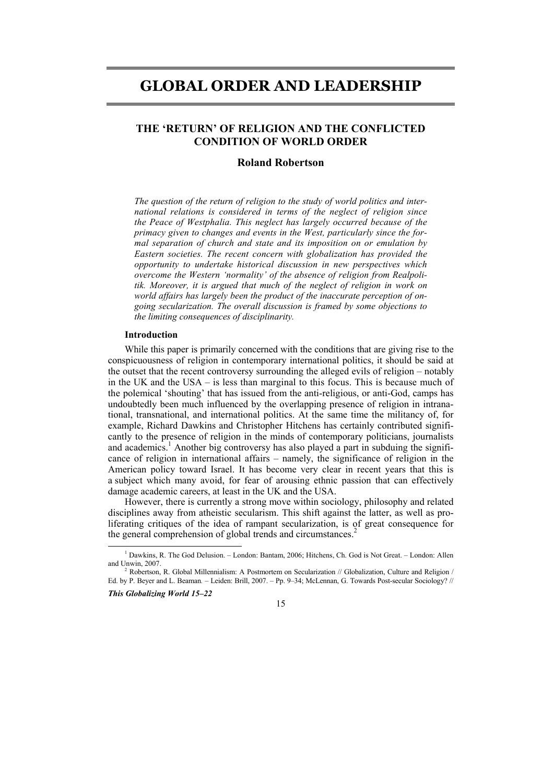# **GLOBAL ORDER AND LEADERSHIP**

## **THE 'RETURN' OF RELIGION AND THE CONFLICTED CONDITION OF WORLD ORDER**

#### **Roland Robertson**

*The question of the return of religion to the study of world politics and international relations is considered in terms of the neglect of religion since the Peace of Westphalia. This neglect has largely occurred because of the primacy given to changes and events in the West, particularly since the formal separation of church and state and its imposition on or emulation by Eastern societies. The recent concern with globalization has provided the opportunity to undertake historical discussion in new perspectives which overcome the Western 'normality' of the absence of religion from Realpolitik. Moreover, it is argued that much of the neglect of religion in work on world affairs has largely been the product of the inaccurate perception of ongoing secularization. The overall discussion is framed by some objections to the limiting consequences of disciplinarity.* 

#### **Introduction**

While this paper is primarily concerned with the conditions that are giving rise to the conspicuousness of religion in contemporary international politics, it should be said at the outset that the recent controversy surrounding the alleged evils of religion – notably in the UK and the USA – is less than marginal to this focus. This is because much of the polemical 'shouting' that has issued from the anti-religious, or anti-God, camps has undoubtedly been much influenced by the overlapping presence of religion in intranational, transnational, and international politics. At the same time the militancy of, for example, Richard Dawkins and Christopher Hitchens has certainly contributed significantly to the presence of religion in the minds of contemporary politicians, journalists and academics.<sup>1</sup> Another big controversy has also played a part in subduing the significance of religion in international affairs – namely, the significance of religion in the American policy toward Israel. It has become very clear in recent years that this is a subject which many avoid, for fear of arousing ethnic passion that can effectively damage academic careers, at least in the UK and the USA.

However, there is currently a strong move within sociology, philosophy and related disciplines away from atheistic secularism. This shift against the latter, as well as proliferating critiques of the idea of rampant secularization, is of great consequence for the general comprehension of global trends and circumstances.<sup>2</sup> İ,

*This Globalizing World 15–22*

15

 <sup>1</sup> <sup>1</sup> Dawkins, R. The God Delusion. – London: Bantam, 2006; Hitchens, Ch. God is Not Great. – London: Allen and Unwin, 2007.

<sup>&</sup>lt;sup>2</sup> Robertson, R. Global Millennialism: A Postmortem on Secularization // Globalization, Culture and Religion / Ed. by P. Beyer and L. Beaman*.* – Leiden: Brill, 2007. – Pp. 9–34; McLennan, G. Towards Post-secular Sociology? //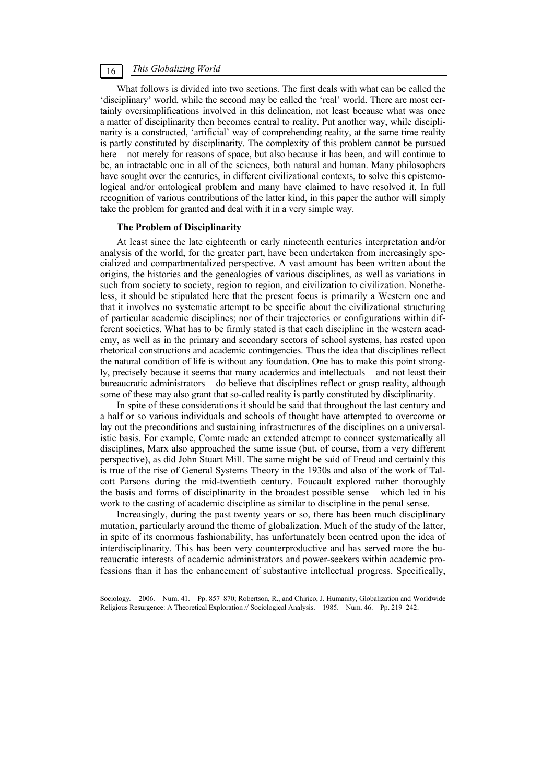What follows is divided into two sections. The first deals with what can be called the 'disciplinary' world, while the second may be called the 'real' world. There are most certainly oversimplifications involved in this delineation, not least because what was once a matter of disciplinarity then becomes central to reality. Put another way, while disciplinarity is a constructed, 'artificial' way of comprehending reality, at the same time reality is partly constituted by disciplinarity. The complexity of this problem cannot be pursued here – not merely for reasons of space, but also because it has been, and will continue to be, an intractable one in all of the sciences, both natural and human. Many philosophers have sought over the centuries, in different civilizational contexts, to solve this epistemological and/or ontological problem and many have claimed to have resolved it. In full recognition of various contributions of the latter kind, in this paper the author will simply take the problem for granted and deal with it in a very simple way.

#### **The Problem of Disciplinarity**

At least since the late eighteenth or early nineteenth centuries interpretation and/or analysis of the world, for the greater part, have been undertaken from increasingly specialized and compartmentalized perspective. A vast amount has been written about the origins, the histories and the genealogies of various disciplines, as well as variations in such from society to society, region to region, and civilization to civilization. Nonetheless, it should be stipulated here that the present focus is primarily a Western one and that it involves no systematic attempt to be specific about the civilizational structuring of particular academic disciplines; nor of their trajectories or configurations within different societies. What has to be firmly stated is that each discipline in the western academy, as well as in the primary and secondary sectors of school systems, has rested upon rhetorical constructions and academic contingencies. Thus the idea that disciplines reflect the natural condition of life is without any foundation. One has to make this point strongly, precisely because it seems that many academics and intellectuals – and not least their bureaucratic administrators – do believe that disciplines reflect or grasp reality, although some of these may also grant that so-called reality is partly constituted by disciplinarity.

In spite of these considerations it should be said that throughout the last century and a half or so various individuals and schools of thought have attempted to overcome or lay out the preconditions and sustaining infrastructures of the disciplines on a universalistic basis. For example, Comte made an extended attempt to connect systematically all disciplines, Marx also approached the same issue (but, of course, from a very different perspective), as did John Stuart Mill. The same might be said of Freud and certainly this is true of the rise of General Systems Theory in the 1930s and also of the work of Talcott Parsons during the mid-twentieth century. Foucault explored rather thoroughly the basis and forms of disciplinarity in the broadest possible sense – which led in his work to the casting of academic discipline as similar to discipline in the penal sense.

Increasingly, during the past twenty years or so, there has been much disciplinary mutation, particularly around the theme of globalization. Much of the study of the latter, in spite of its enormous fashionability, has unfortunately been centred upon the idea of interdisciplinarity. This has been very counterproductive and has served more the bureaucratic interests of academic administrators and power-seekers within academic professions than it has the enhancement of substantive intellectual progress. Specifically,

 Sociology*. –* 2006. – Num. 41. – Рр. 857–870; Robertson, R., and Chirico, J. Humanity, Globalization and Worldwide Religious Resurgence: A Theoretical Exploration // Sociological Analysis. – 1985. – Num. 46. – Рр. 219–242.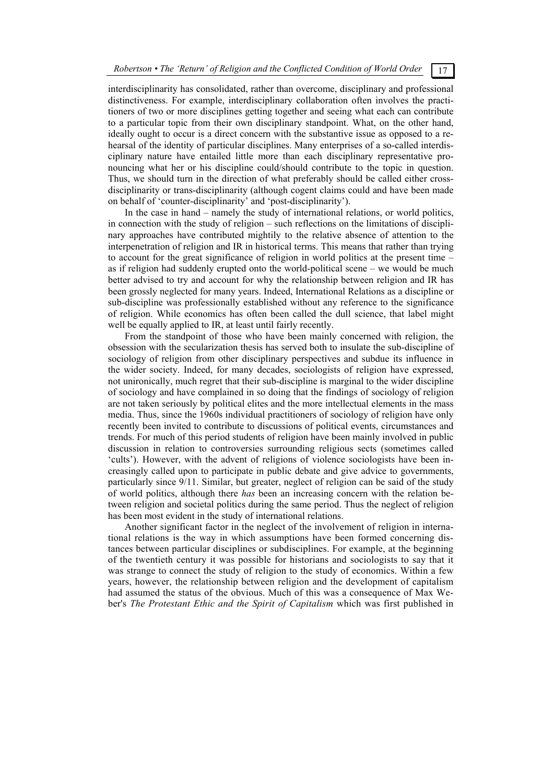interdisciplinarity has consolidated, rather than overcome, disciplinary and professional distinctiveness. For example, interdisciplinary collaboration often involves the practitioners of two or more disciplines getting together and seeing what each can contribute to a particular topic from their own disciplinary standpoint. What, on the other hand, ideally ought to occur is a direct concern with the substantive issue as opposed to a rehearsal of the identity of particular disciplines. Many enterprises of a so-called interdisciplinary nature have entailed little more than each disciplinary representative pronouncing what her or his discipline could/should contribute to the topic in question. Thus, we should turn in the direction of what preferably should be called either crossdisciplinarity or trans-disciplinarity (although cogent claims could and have been made on behalf of 'counter-disciplinarity' and 'post-disciplinarity').

In the case in hand – namely the study of international relations, or world politics, in connection with the study of religion – such reflections on the limitations of disciplinary approaches have contributed mightily to the relative absence of attention to the interpenetration of religion and IR in historical terms. This means that rather than trying to account for the great significance of religion in world politics at the present time – as if religion had suddenly erupted onto the world-political scene – we would be much better advised to try and account for why the relationship between religion and IR has been grossly neglected for many years. Indeed, International Relations as a discipline or sub-discipline was professionally established without any reference to the significance of religion. While economics has often been called the dull science, that label might well be equally applied to IR, at least until fairly recently.

From the standpoint of those who have been mainly concerned with religion, the obsession with the secularization thesis has served both to insulate the sub-discipline of sociology of religion from other disciplinary perspectives and subdue its influence in the wider society. Indeed, for many decades, sociologists of religion have expressed, not unironically, much regret that their sub-discipline is marginal to the wider discipline of sociology and have complained in so doing that the findings of sociology of religion are not taken seriously by political elites and the more intellectual elements in the mass media. Thus, since the 1960s individual practitioners of sociology of religion have only recently been invited to contribute to discussions of political events, circumstances and trends. For much of this period students of religion have been mainly involved in public discussion in relation to controversies surrounding religious sects (sometimes called 'cults'). However, with the advent of religions of violence sociologists have been increasingly called upon to participate in public debate and give advice to governments, particularly since 9/11. Similar, but greater, neglect of religion can be said of the study of world politics, although there *has* been an increasing concern with the relation between religion and societal politics during the same period. Thus the neglect of religion has been most evident in the study of international relations.

Another significant factor in the neglect of the involvement of religion in international relations is the way in which assumptions have been formed concerning distances between particular disciplines or subdisciplines. For example, at the beginning of the twentieth century it was possible for historians and sociologists to say that it was strange to connect the study of religion to the study of economics. Within a few years, however, the relationship between religion and the development of capitalism had assumed the status of the obvious. Much of this was a consequence of Max Weber's *The Protestant Ethic and the Spirit of Capitalism* which was first published in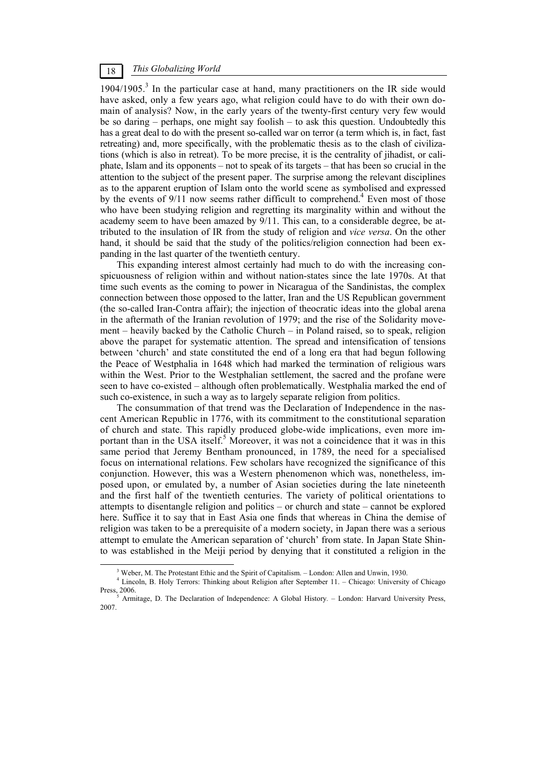1904/1905.<sup>3</sup> In the particular case at hand, many practitioners on the IR side would have asked, only a few years ago, what religion could have to do with their own domain of analysis? Now, in the early years of the twenty-first century very few would be so daring – perhaps, one might say foolish – to ask this question. Undoubtedly this has a great deal to do with the present so-called war on terror (a term which is, in fact, fast retreating) and, more specifically, with the problematic thesis as to the clash of civilizations (which is also in retreat). To be more precise, it is the centrality of jihadist, or caliphate, Islam and its opponents – not to speak of its targets – that has been so crucial in the attention to the subject of the present paper. The surprise among the relevant disciplines as to the apparent eruption of Islam onto the world scene as symbolised and expressed by the events of  $9/11$  now seems rather difficult to comprehend.<sup>4</sup> Even most of those who have been studying religion and regretting its marginality within and without the academy seem to have been amazed by 9/11. This can, to a considerable degree, be attributed to the insulation of IR from the study of religion and *vice versa*. On the other hand, it should be said that the study of the politics/religion connection had been expanding in the last quarter of the twentieth century.

This expanding interest almost certainly had much to do with the increasing conspicuousness of religion within and without nation-states since the late 1970s. At that time such events as the coming to power in Nicaragua of the Sandinistas, the complex connection between those opposed to the latter, Iran and the US Republican government (the so-called Iran-Contra affair); the injection of theocratic ideas into the global arena in the aftermath of the Iranian revolution of 1979; and the rise of the Solidarity movement – heavily backed by the Catholic Church – in Poland raised, so to speak, religion above the parapet for systematic attention. The spread and intensification of tensions between 'church' and state constituted the end of a long era that had begun following the Peace of Westphalia in 1648 which had marked the termination of religious wars within the West. Prior to the Westphalian settlement, the sacred and the profane were seen to have co-existed – although often problematically. Westphalia marked the end of such co-existence, in such a way as to largely separate religion from politics.

The consummation of that trend was the Declaration of Independence in the nascent American Republic in 1776, with its commitment to the constitutional separation of church and state. This rapidly produced globe-wide implications, even more important than in the USA itself.<sup>5</sup> Moreover, it was not a coincidence that it was in this same period that Jeremy Bentham pronounced, in 1789, the need for a specialised focus on international relations. Few scholars have recognized the significance of this conjunction. However, this was a Western phenomenon which was, nonetheless, imposed upon, or emulated by, a number of Asian societies during the late nineteenth and the first half of the twentieth centuries. The variety of political orientations to attempts to disentangle religion and politics – or church and state – cannot be explored here. Suffice it to say that in East Asia one finds that whereas in China the demise of religion was taken to be a prerequisite of a modern society, in Japan there was a serious attempt to emulate the American separation of 'church' from state. In Japan State Shinto was established in the Meiji period by denying that it constituted a religion in the

 $\frac{1}{3}$ <sup>3</sup> Weber, M. The Protestant Ethic and the Spirit of Capitalism. - London: Allen and Unwin, 1930.

Lincoln, B. Holy Terrors: Thinking about Religion after September 11. – Chicago: University of Chicago Press, 2006.

Armitage, D. The Declaration of Independence: A Global History*.* – London: Harvard University Press, 2007.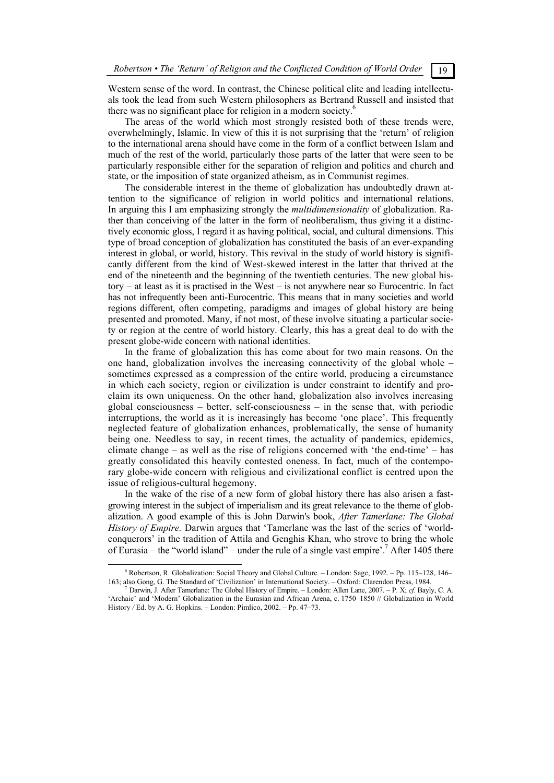Western sense of the word. In contrast, the Chinese political elite and leading intellectuals took the lead from such Western philosophers as Bertrand Russell and insisted that there was no significant place for religion in a modern society.<sup>6</sup>  $\overline{a}$ 

The areas of the world which most strongly resisted both of these trends were, overwhelmingly, Islamic. In view of this it is not surprising that the 'return' of religion to the international arena should have come in the form of a conflict between Islam and much of the rest of the world, particularly those parts of the latter that were seen to be particularly responsible either for the separation of religion and politics and church and state, or the imposition of state organized atheism, as in Communist regimes.

The considerable interest in the theme of globalization has undoubtedly drawn attention to the significance of religion in world politics and international relations. In arguing this I am emphasizing strongly the *multidimensionality* of globalization. Rather than conceiving of the latter in the form of neoliberalism, thus giving it a distinctively economic gloss, I regard it as having political, social, and cultural dimensions. This type of broad conception of globalization has constituted the basis of an ever-expanding interest in global, or world, history. This revival in the study of world history is significantly different from the kind of West-skewed interest in the latter that thrived at the end of the nineteenth and the beginning of the twentieth centuries. The new global history – at least as it is practised in the West – is not anywhere near so Eurocentric. In fact has not infrequently been anti-Eurocentric. This means that in many societies and world regions different, often competing, paradigms and images of global history are being presented and promoted. Many, if not most, of these involve situating a particular society or region at the centre of world history. Clearly, this has a great deal to do with the present globe-wide concern with national identities.

In the frame of globalization this has come about for two main reasons. On the one hand, globalization involves the increasing connectivity of the global whole – sometimes expressed as a compression of the entire world, producing a circumstance in which each society, region or civilization is under constraint to identify and proclaim its own uniqueness. On the other hand, globalization also involves increasing global consciousness – better, self-consciousness – in the sense that, with periodic interruptions, the world as it is increasingly has become 'one place'. This frequently neglected feature of globalization enhances, problematically, the sense of humanity being one. Needless to say, in recent times, the actuality of pandemics, epidemics, climate change – as well as the rise of religions concerned with 'the end-time' – has greatly consolidated this heavily contested oneness. In fact, much of the contemporary globe-wide concern with religious and civilizational conflict is centred upon the issue of religious-cultural hegemony.

In the wake of the rise of a new form of global history there has also arisen a fastgrowing interest in the subject of imperialism and its great relevance to the theme of globalization. A good example of this is John Darwin's book, *After Tamerlane: The Global History of Empire.* Darwin argues that 'Tamerlane was the last of the series of 'worldconquerors' in the tradition of Attila and Genghis Khan, who strove to bring the whole of Eurasia – the "world island" – under the rule of a single vast empire'.<sup>7</sup> After 1405 there

 $\overline{6}$  Robertson, R. Globalization: Social Theory and Global Culture*.* – London: Sage, 1992. – Рр. 115–128, 146– 163; also Gong, G. The Standard of 'Civilization' in International Society. – Oxford: Clarendon Press, 1984. 7

Darwin, J. After Tamerlane: The Global History of Empire. – London: Allen Lane, 2007. – P. X; *cf.* Bayly, C. A. 'Archaic' and 'Modern' Globalization in the Eurasian and African Arena, c. 1750–1850 // Globalization in World History */* Ed. by A. G. Hopkins*.* – London: Pimlico, 2002. – Pp. 47–73.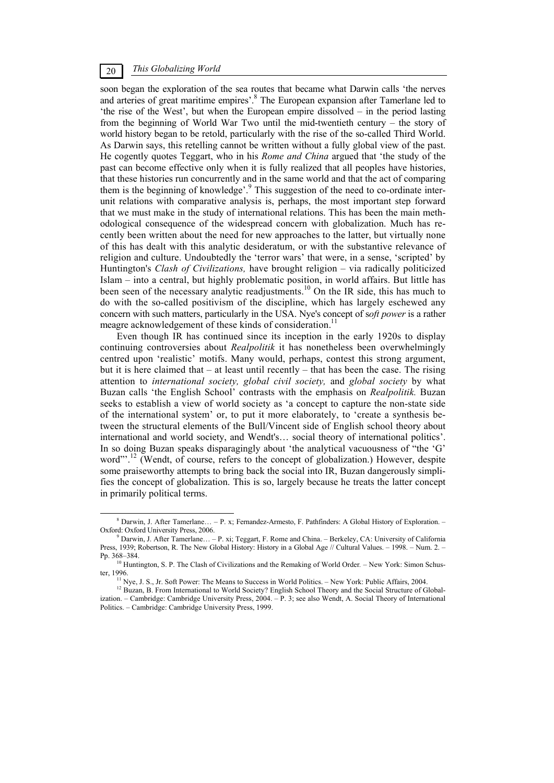soon began the exploration of the sea routes that became what Darwin calls 'the nerves and arteries of great maritime empires'.<sup>8</sup> The European expansion after Tamerlane led to 'the rise of the West', but when the European empire dissolved – in the period lasting from the beginning of World War Two until the mid-twentieth century – the story of world history began to be retold, particularly with the rise of the so-called Third World. As Darwin says, this retelling cannot be written without a fully global view of the past. He cogently quotes Teggart, who in his *Rome and China* argued that 'the study of the past can become effective only when it is fully realized that all peoples have histories, that these histories run concurrently and in the same world and that the act of comparing them is the beginning of knowledge'.<sup>9</sup> This suggestion of the need to co-ordinate interunit relations with comparative analysis is, perhaps, the most important step forward that we must make in the study of international relations. This has been the main methodological consequence of the widespread concern with globalization. Much has recently been written about the need for new approaches to the latter, but virtually none of this has dealt with this analytic desideratum, or with the substantive relevance of religion and culture. Undoubtedly the 'terror wars' that were, in a sense, 'scripted' by Huntington's *Clash of Civilizations,* have brought religion – via radically politicized Islam – into a central, but highly problematic position, in world affairs. But little has been seen of the necessary analytic readjustments.<sup>10</sup> On the IR side, this has much to do with the so-called positivism of the discipline, which has largely eschewed any concern with such matters, particularly in the USA. Nye's concept of s*oft power* is a rather meagre acknowledgement of these kinds of consideration.<sup>11</sup>

Even though IR has continued since its inception in the early 1920s to display continuing controversies about *Realpolitik* it has nonetheless been overwhelmingly centred upon 'realistic' motifs. Many would, perhaps, contest this strong argument, but it is here claimed that  $-$  at least until recently  $-$  that has been the case. The rising attention to *international society, global civil society,* and *global society* by what Buzan calls 'the English School' contrasts with the emphasis on *Realpolitik.* Buzan seeks to establish a view of world society as 'a concept to capture the non-state side of the international system' or, to put it more elaborately, to 'create a synthesis between the structural elements of the Bull/Vincent side of English school theory about international and world society, and Wendt's… social theory of international politics'. In so doing Buzan speaks disparagingly about 'the analytical vacuousness of "the 'G' word"<sup>12</sup> (Wendt, of course, refers to the concept of globalization.) However, despite some praiseworthy attempts to bring back the social into IR, Buzan dangerously simplifies the concept of globalization. This is so, largely because he treats the latter concept in primarily political terms.

 $rac{1}{\sqrt{2}}$  Darwin, J. After Tamerlane… – P. x; Fernandez-Armesto, F. Pathfinders: A Global History of Exploration. – Oxford: Oxford University Press, 2006.

Darwin, J. After Tamerlane… – P. xi; Teggart, F. Rome and China. – Berkeley, CA: University of California Press, 1939; Robertson, R. The New Global History: History in a Global Age // Cultural Values. – 1998. – Num. 2. –

<sup>&</sup>lt;sup>10</sup> Huntington, S. P. The Clash of Civilizations and the Remaking of World Order. – New York: Simon Schuster, 1996.<br><sup>11</sup> Nye, J. S., Jr. Soft Power: The Means to Success in World Politics. – New York: Public Affairs, 2004.<br><sup>12</sup> Buzan, B. From International to World Society? English School Theory and the Social Structure of Gl

ization. – Cambridge: Cambridge University Press, 2004. – P. 3; see also Wendt, A. Social Theory of International Politics. – Cambridge: Cambridge University Press, 1999.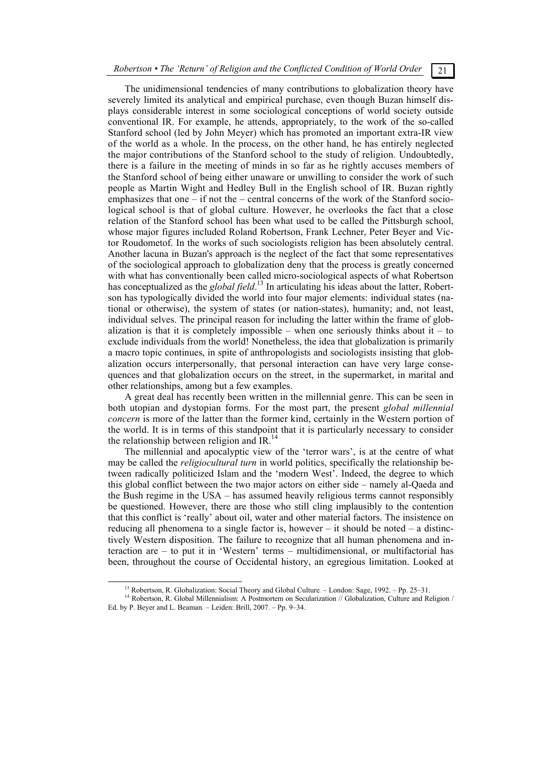#### *Robertson • The 'Return' of Religion and the Conflicted Condition of World Order*  $\boxed{21}$

The unidimensional tendencies of many contributions to globalization theory have severely limited its analytical and empirical purchase, even though Buzan himself displays considerable interest in some sociological conceptions of world society outside conventional IR. For example, he attends, appropriately, to the work of the so-called Stanford school (led by John Meyer) which has promoted an important extra-IR view of the world as a whole. In the process, on the other hand, he has entirely neglected the major contributions of the Stanford school to the study of religion. Undoubtedly, there is a failure in the meeting of minds in so far as he rightly accuses members of the Stanford school of being either unaware or unwilling to consider the work of such people as Martin Wight and Hedley Bull in the English school of IR. Buzan rightly emphasizes that one – if not the – central concerns of the work of the Stanford sociological school is that of global culture. However, he overlooks the fact that a close relation of the Stanford school has been what used to be called the Pittsburgh school, whose major figures included Roland Robertson, Frank Lechner, Peter Beyer and Victor Roudometof. In the works of such sociologists religion has been absolutely central. Another lacuna in Buzan's approach is the neglect of the fact that some representatives of the sociological approach to globalization deny that the process is greatly concerned with what has conventionally been called micro-sociological aspects of what Robertson has conceptualized as the *global field*. 13 In articulating his ideas about the latter, Robertson has typologically divided the world into four major elements: individual states (national or otherwise), the system of states (or nation-states), humanity; and, not least, individual selves. The principal reason for including the latter within the frame of globalization is that it is completely impossible – when one seriously thinks about it – to exclude individuals from the world! Nonetheless, the idea that globalization is primarily a macro topic continues, in spite of anthropologists and sociologists insisting that globalization occurs interpersonally, that personal interaction can have very large consequences and that globalization occurs on the street, in the supermarket, in marital and other relationships, among but a few examples.

A great deal has recently been written in the millennial genre. This can be seen in both utopian and dystopian forms. For the most part, the present *global millennial concern* is more of the latter than the former kind, certainly in the Western portion of the world. It is in terms of this standpoint that it is particularly necessary to consider the relationship between religion and IR.<sup>14</sup>

The millennial and apocalyptic view of the 'terror wars', is at the centre of what may be called the *religiocultural turn* in world politics, specifically the relationship between radically politicized Islam and the 'modern West'. Indeed, the degree to which this global conflict between the two major actors on either side – namely al-Qaeda and the Bush regime in the USA – has assumed heavily religious terms cannot responsibly be questioned. However, there are those who still cling implausibly to the contention that this conflict is 'really' about oil, water and other material factors. The insistence on reducing all phenomena to a single factor is, however – it should be noted – a distinctively Western disposition. The failure to recognize that all human phenomena and interaction are – to put it in 'Western' terms – multidimensional, or multifactorial has been, throughout the course of Occidental history, an egregious limitation. Looked at

<sup>&</sup>lt;sup>13</sup> Robertson, R. Globalization: Social Theory and Global Culture. – London: Sage, 1992. – Pp. 25–31.<br><sup>14</sup> Robertson, R. Global Millennialism: A Postmortem on Secularization // Globalization, Culture and Religion /

Ed. by P. Beyer and L. Beaman*.* – Leiden: Brill, 2007. – Pp. 9–34.